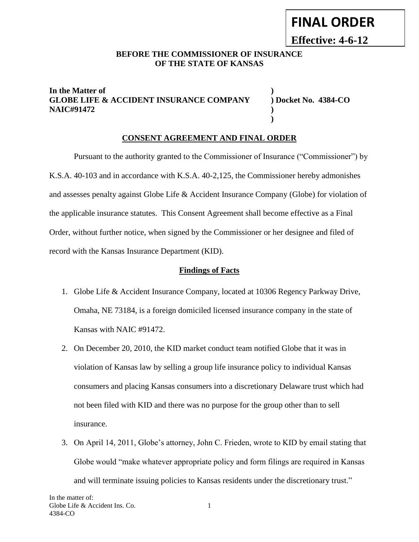# **FINAL ORDER**

**Effective: 4-6-12**

#### **BEFORE THE COMMISSIONER OF INSURANCE OF THE STATE OF KANSAS**

#### **In the Matter of ) GLOBE LIFE & ACCIDENT INSURANCE COMPANY ) Docket No. 4384-CO NAIC#91472 )**

**)**

#### **CONSENT AGREEMENT AND FINAL ORDER**

Pursuant to the authority granted to the Commissioner of Insurance ("Commissioner") by K.S.A. 40-103 and in accordance with K.S.A. 40-2,125, the Commissioner hereby admonishes and assesses penalty against Globe Life & Accident Insurance Company (Globe) for violation of the applicable insurance statutes. This Consent Agreement shall become effective as a Final Order, without further notice, when signed by the Commissioner or her designee and filed of record with the Kansas Insurance Department (KID).

#### **Findings of Facts**

- 1. Globe Life & Accident Insurance Company, located at 10306 Regency Parkway Drive, Omaha, NE 73184, is a foreign domiciled licensed insurance company in the state of Kansas with NAIC #91472.
- 2. On December 20, 2010, the KID market conduct team notified Globe that it was in violation of Kansas law by selling a group life insurance policy to individual Kansas consumers and placing Kansas consumers into a discretionary Delaware trust which had not been filed with KID and there was no purpose for the group other than to sell insurance.
- 3. On April 14, 2011, Globe's attorney, John C. Frieden, wrote to KID by email stating that Globe would "make whatever appropriate policy and form filings are required in Kansas and will terminate issuing policies to Kansas residents under the discretionary trust."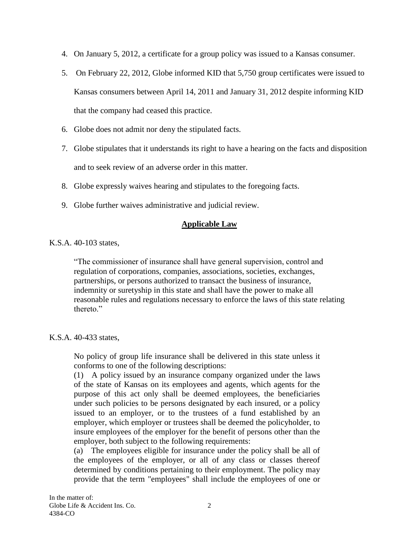- 4. On January 5, 2012, a certificate for a group policy was issued to a Kansas consumer.
- 5. On February 22, 2012, Globe informed KID that 5,750 group certificates were issued to Kansas consumers between April 14, 2011 and January 31, 2012 despite informing KID that the company had ceased this practice.
- 6. Globe does not admit nor deny the stipulated facts.
- 7. Globe stipulates that it understands its right to have a hearing on the facts and disposition and to seek review of an adverse order in this matter.
- 8. Globe expressly waives hearing and stipulates to the foregoing facts.
- 9. Globe further waives administrative and judicial review.

#### **Applicable Law**

K.S.A. 40-103 states,

"The commissioner of insurance shall have general supervision, control and regulation of corporations, companies, associations, societies, exchanges, partnerships, or persons authorized to transact the business of insurance, indemnity or suretyship in this state and shall have the power to make all reasonable rules and regulations necessary to enforce the laws of this state relating thereto."

#### K.S.A. 40-433 states,

No policy of group life insurance shall be delivered in this state unless it conforms to one of the following descriptions:

(1) A policy issued by an insurance company organized under the laws of the state of Kansas on its employees and agents, which agents for the purpose of this act only shall be deemed employees, the beneficiaries under such policies to be persons designated by each insured, or a policy issued to an employer, or to the trustees of a fund established by an employer, which employer or trustees shall be deemed the policyholder, to insure employees of the employer for the benefit of persons other than the employer, both subject to the following requirements:

(a) The employees eligible for insurance under the policy shall be all of the employees of the employer, or all of any class or classes thereof determined by conditions pertaining to their employment. The policy may provide that the term "employees" shall include the employees of one or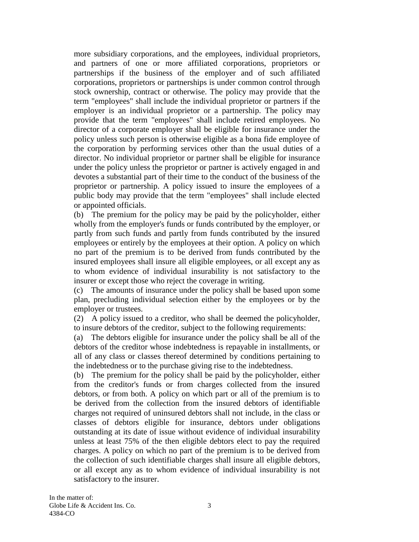more subsidiary corporations, and the employees, individual proprietors, and partners of one or more affiliated corporations, proprietors or partnerships if the business of the employer and of such affiliated corporations, proprietors or partnerships is under common control through stock ownership, contract or otherwise. The policy may provide that the term "employees" shall include the individual proprietor or partners if the employer is an individual proprietor or a partnership. The policy may provide that the term "employees" shall include retired employees. No director of a corporate employer shall be eligible for insurance under the policy unless such person is otherwise eligible as a bona fide employee of the corporation by performing services other than the usual duties of a director. No individual proprietor or partner shall be eligible for insurance under the policy unless the proprietor or partner is actively engaged in and devotes a substantial part of their time to the conduct of the business of the proprietor or partnership. A policy issued to insure the employees of a public body may provide that the term "employees" shall include elected or appointed officials.

(b) The premium for the policy may be paid by the policyholder, either wholly from the employer's funds or funds contributed by the employer, or partly from such funds and partly from funds contributed by the insured employees or entirely by the employees at their option. A policy on which no part of the premium is to be derived from funds contributed by the insured employees shall insure all eligible employees, or all except any as to whom evidence of individual insurability is not satisfactory to the insurer or except those who reject the coverage in writing.

(c) The amounts of insurance under the policy shall be based upon some plan, precluding individual selection either by the employees or by the employer or trustees.

(2) A policy issued to a creditor, who shall be deemed the policyholder, to insure debtors of the creditor, subject to the following requirements:

(a) The debtors eligible for insurance under the policy shall be all of the debtors of the creditor whose indebtedness is repayable in installments, or all of any class or classes thereof determined by conditions pertaining to the indebtedness or to the purchase giving rise to the indebtedness.

(b) The premium for the policy shall be paid by the policyholder, either from the creditor's funds or from charges collected from the insured debtors, or from both. A policy on which part or all of the premium is to be derived from the collection from the insured debtors of identifiable charges not required of uninsured debtors shall not include, in the class or classes of debtors eligible for insurance, debtors under obligations outstanding at its date of issue without evidence of individual insurability unless at least 75% of the then eligible debtors elect to pay the required charges. A policy on which no part of the premium is to be derived from the collection of such identifiable charges shall insure all eligible debtors, or all except any as to whom evidence of individual insurability is not satisfactory to the insurer.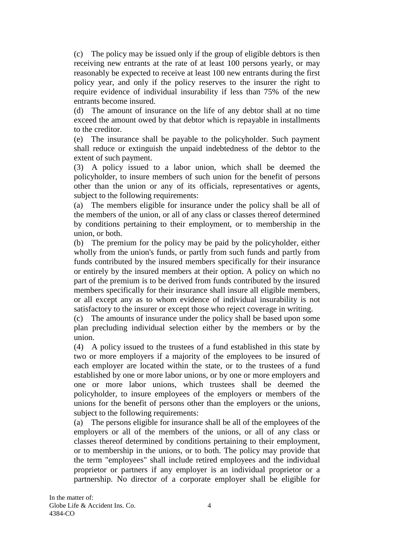(c) The policy may be issued only if the group of eligible debtors is then receiving new entrants at the rate of at least 100 persons yearly, or may reasonably be expected to receive at least 100 new entrants during the first policy year, and only if the policy reserves to the insurer the right to require evidence of individual insurability if less than 75% of the new entrants become insured.

(d) The amount of insurance on the life of any debtor shall at no time exceed the amount owed by that debtor which is repayable in installments to the creditor.

(e) The insurance shall be payable to the policyholder. Such payment shall reduce or extinguish the unpaid indebtedness of the debtor to the extent of such payment.

(3) A policy issued to a labor union, which shall be deemed the policyholder, to insure members of such union for the benefit of persons other than the union or any of its officials, representatives or agents, subject to the following requirements:

(a) The members eligible for insurance under the policy shall be all of the members of the union, or all of any class or classes thereof determined by conditions pertaining to their employment, or to membership in the union, or both.

(b) The premium for the policy may be paid by the policyholder, either wholly from the union's funds, or partly from such funds and partly from funds contributed by the insured members specifically for their insurance or entirely by the insured members at their option. A policy on which no part of the premium is to be derived from funds contributed by the insured members specifically for their insurance shall insure all eligible members, or all except any as to whom evidence of individual insurability is not satisfactory to the insurer or except those who reject coverage in writing.

(c) The amounts of insurance under the policy shall be based upon some plan precluding individual selection either by the members or by the union.

(4) A policy issued to the trustees of a fund established in this state by two or more employers if a majority of the employees to be insured of each employer are located within the state, or to the trustees of a fund established by one or more labor unions, or by one or more employers and one or more labor unions, which trustees shall be deemed the policyholder, to insure employees of the employers or members of the unions for the benefit of persons other than the employers or the unions, subject to the following requirements:

(a) The persons eligible for insurance shall be all of the employees of the employers or all of the members of the unions, or all of any class or classes thereof determined by conditions pertaining to their employment, or to membership in the unions, or to both. The policy may provide that the term "employees" shall include retired employees and the individual proprietor or partners if any employer is an individual proprietor or a partnership. No director of a corporate employer shall be eligible for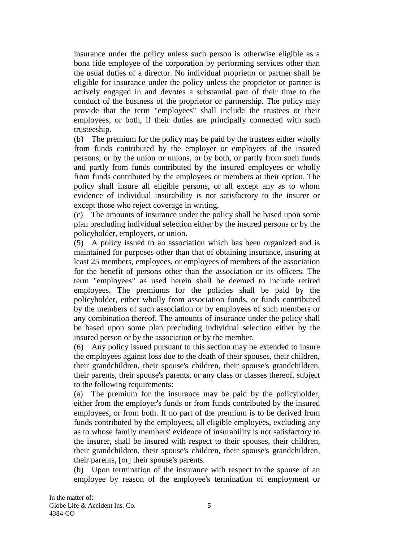insurance under the policy unless such person is otherwise eligible as a bona fide employee of the corporation by performing services other than the usual duties of a director. No individual proprietor or partner shall be eligible for insurance under the policy unless the proprietor or partner is actively engaged in and devotes a substantial part of their time to the conduct of the business of the proprietor or partnership. The policy may provide that the term "employees" shall include the trustees or their employees, or both, if their duties are principally connected with such trusteeship.

(b) The premium for the policy may be paid by the trustees either wholly from funds contributed by the employer or employers of the insured persons, or by the union or unions, or by both, or partly from such funds and partly from funds contributed by the insured employees or wholly from funds contributed by the employees or members at their option. The policy shall insure all eligible persons, or all except any as to whom evidence of individual insurability is not satisfactory to the insurer or except those who reject coverage in writing.

(c) The amounts of insurance under the policy shall be based upon some plan precluding individual selection either by the insured persons or by the policyholder, employers, or union.

(5) A policy issued to an association which has been organized and is maintained for purposes other than that of obtaining insurance, insuring at least 25 members, employees, or employees of members of the association for the benefit of persons other than the association or its officers. The term "employees" as used herein shall be deemed to include retired employees. The premiums for the policies shall be paid by the policyholder, either wholly from association funds, or funds contributed by the members of such association or by employees of such members or any combination thereof. The amounts of insurance under the policy shall be based upon some plan precluding individual selection either by the insured person or by the association or by the member.

(6) Any policy issued pursuant to this section may be extended to insure the employees against loss due to the death of their spouses, their children, their grandchildren, their spouse's children, their spouse's grandchildren, their parents, their spouse's parents, or any class or classes thereof, subject to the following requirements:

(a) The premium for the insurance may be paid by the policyholder, either from the employer's funds or from funds contributed by the insured employees, or from both. If no part of the premium is to be derived from funds contributed by the employees, all eligible employees, excluding any as to whose family members' evidence of insurability is not satisfactory to the insurer, shall be insured with respect to their spouses, their children, their grandchildren, their spouse's children, their spouse's grandchildren, their parents, [or] their spouse's parents.

(b) Upon termination of the insurance with respect to the spouse of an employee by reason of the employee's termination of employment or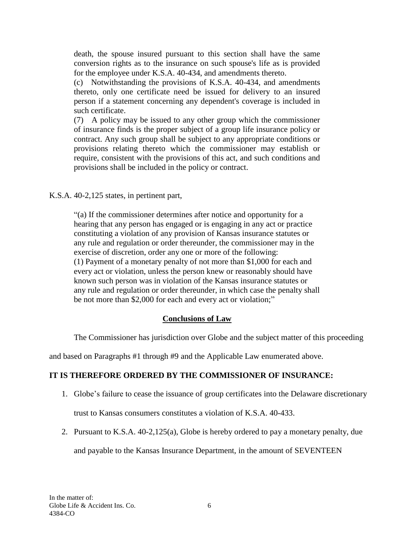death, the spouse insured pursuant to this section shall have the same conversion rights as to the insurance on such spouse's life as is provided for the employee under K.S.A. 40-434, and amendments thereto.

(c) Notwithstanding the provisions of K.S.A. 40-434, and amendments thereto, only one certificate need be issued for delivery to an insured person if a statement concerning any dependent's coverage is included in such certificate.

(7) A policy may be issued to any other group which the commissioner of insurance finds is the proper subject of a group life insurance policy or contract. Any such group shall be subject to any appropriate conditions or provisions relating thereto which the commissioner may establish or require, consistent with the provisions of this act, and such conditions and provisions shall be included in the policy or contract.

K.S.A. 40-2,125 states, in pertinent part,

"(a) If the commissioner determines after notice and opportunity for a hearing that any person has engaged or is engaging in any act or practice constituting a violation of any provision of Kansas insurance statutes or any rule and regulation or order thereunder, the commissioner may in the exercise of discretion, order any one or more of the following: (1) Payment of a monetary penalty of not more than \$1,000 for each and every act or violation, unless the person knew or reasonably should have known such person was in violation of the Kansas insurance statutes or any rule and regulation or order thereunder, in which case the penalty shall be not more than \$2,000 for each and every act or violation;"

#### **Conclusions of Law**

The Commissioner has jurisdiction over Globe and the subject matter of this proceeding

and based on Paragraphs #1 through #9 and the Applicable Law enumerated above.

#### **IT IS THEREFORE ORDERED BY THE COMMISSIONER OF INSURANCE:**

- 1. Globe's failure to cease the issuance of group certificates into the Delaware discretionary trust to Kansas consumers constitutes a violation of K.S.A. 40-433.
- 2. Pursuant to K.S.A. 40-2,125(a), Globe is hereby ordered to pay a monetary penalty, due

and payable to the Kansas Insurance Department, in the amount of SEVENTEEN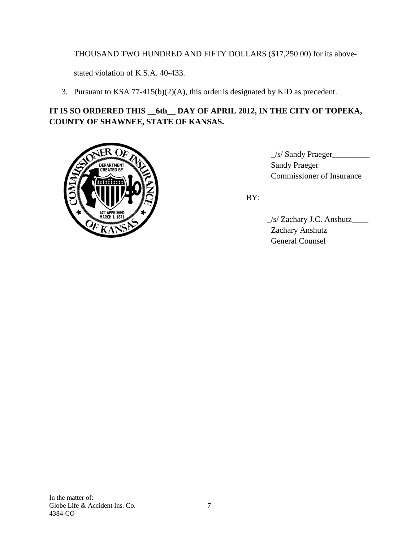# THOUSAND TWO HUNDRED AND FIFTY DOLLARS (\$17,250.00) for its above-

stated violation of K.S.A. 40-433.

3. Pursuant to KSA 77-415(b)(2)(A), this order is designated by KID as precedent.

# **IT IS SO ORDERED THIS \_\_6th\_\_ DAY OF APRIL 2012, IN THE CITY OF TOPEKA, COUNTY OF SHAWNEE, STATE OF KANSAS.**



 $\angle$ s/ Sandy Praeger $\angle$ ENERGY Sandy Praeger 3. Commissioner of Insurance

BY:

 \_/s/ Zachary J.C. Anshutz\_\_\_\_ Zachary Anshutz General Counsel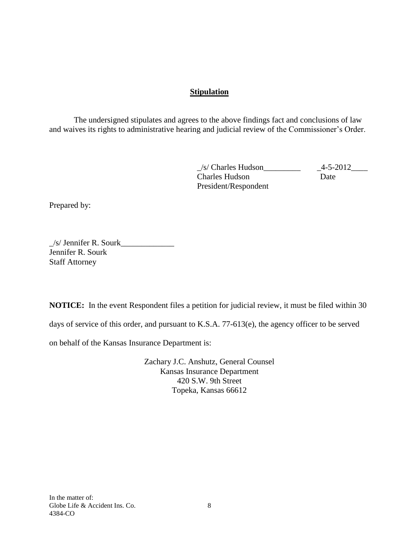# **Stipulation**

The undersigned stipulates and agrees to the above findings fact and conclusions of law and waives its rights to administrative hearing and judicial review of the Commissioner's Order.

> $\angle$ s/ Charles Hudson $\angle$ 4-5-2012 $\angle$ Charles Hudson Date President/Respondent

Prepared by:

 $\frac{1}{s}$  Jennifer R. Sourk Jennifer R. Sourk Staff Attorney

**NOTICE:** In the event Respondent files a petition for judicial review, it must be filed within 30

days of service of this order, and pursuant to K.S.A. 77-613(e), the agency officer to be served

on behalf of the Kansas Insurance Department is:

Zachary J.C. Anshutz, General Counsel Kansas Insurance Department 420 S.W. 9th Street Topeka, Kansas 66612